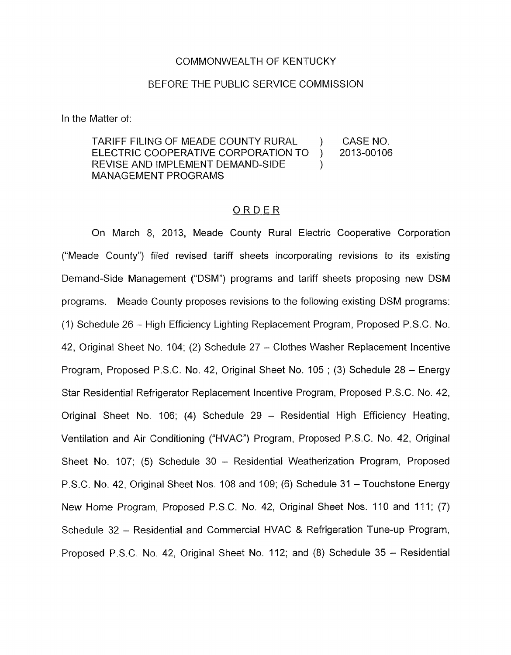## COMMONWEALTH OF KENTUCKY

## BEFORE THE PUBLIC SERVICE COMMISSION

In the Matter of:

'TARIFF FILING OF MEADE COUNTY RURAL ) CASE NO. ELECTRIC COOPERATIVE CORPORATION TO ) 2013-00106 REVISE AND IMPLEMENT DEMAND-SIDE MANAGEMENT PROGRAMS

## ORDER

On March 8, 2013, Meade County Rural Electric Cooperative Corporation ("Meade County") filed revised tariff sheets incorporating revisions to its existing Demand-Side Management ("DSM") programs and tariff sheets proposing new DSM programs. Meade County proposes revisions to the following existing DSM programs: (1) Schedule 26 - High Efficiency Lighting Replacement Program, Proposed P.S.C. No. 42, Original Sheet No. 104; (2) Schedule 27 - Clothes Washer Replacement Incentive Program, Proposed P.S.C. **No.** 42, Original Sheet No. 105 ; (3) Schedule 28 - Energy Star Residential Refrigerator Replacement Incentive Program, Proposed P.S.C. No. 42, Original Sheet No. 106; (4) Schedule 29 - Residential High Efficiency Heating, Ventilation and Air Conditioning ("HVAC") Program, Proposed P.S.C. No. 42, Original Sheet No. 107; (5) Schedule 30 - Residential Weatherization Program, Proposed P.S.C. No. 42, Original Sheet Nos. 108 and 109; (6) Schedule 31 - Touchstone Energy New Home Program, Proposed P.S.C. **No.** 42, Original Sheet Nos. 110 and 11 1; (7) Schedule 32 - Residential and Commercial HVAC & Refrigeration Tune-up Program, Proposed P.S.C. **No.** 42, Original Sheet No. 112; and (8) Schedule 35 - Residential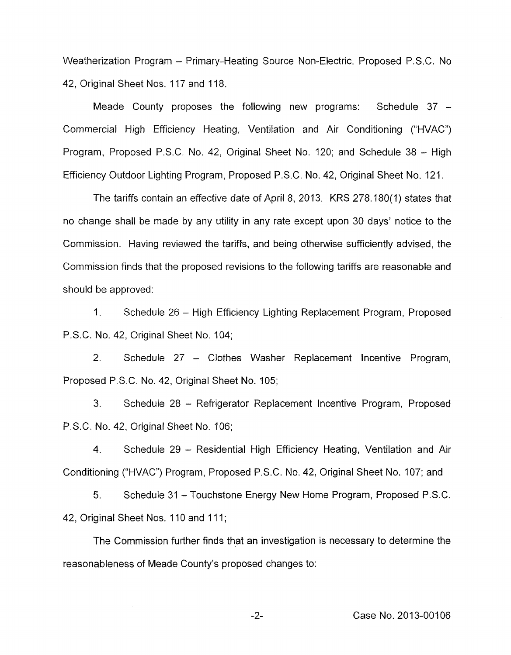Weatherization Program - Primary-Heating Source Non-Electric, Proposed P.S.C. No 42, Original Sheet Nos. 117 and 118.

Meade County proposes the following new programs: Schedule 37 -Commercial High Efficiency Heating, Ventilation and Air Conditioning ("HVAC") Program, Proposed P.S.C. No. 42, Original Sheet No. 120; and Schedule <sup>38</sup>- High Efficiency Outdoor Lighting Program, Proposed P.S.C. No. 42, Original Sheet No. 121.

The tariffs contain an effective date of April 8, 2013. KRS 278.180(1) states that no change shall be made by any utility in any rate except upon 30 days' notice to the Commission. Having reviewed the tariffs, and being otherwise sufficiently advised, the Commission finds that the proposed revisions to the following tariffs are reasonable and should be approved:

1. Schedule <sup>26</sup>- High Efficiency Lighting Replacement Program, Proposed P.S.C. No. 42, Original Sheet No. 104;

2. Schedule 27 - Clothes Washer Replacement Incentive Program, Proposed P.S.C. No. 42, Original Sheet No. 105;

**3.** Schedule <sup>28</sup>- Refrigerator Replacement Incentive Program, Proposed P.S.C. No. 42, Original Sheet No. 106;

4. Schedule 29 – Residential High Efficiency Heating, Ventilation and Air Conditioning ("HVAC") Program, Proposed P.S.C. No. 42, Original Sheet No. 107; and

5. Schedule <sup>31</sup>- Touchstone Energy New Home Program, Proposed P.S.C. 42, Original Sheet Nos. 110 and 111;

The Commission further finds that an investigation is necessary to determine the reasonableness of Meade County's proposed changes to: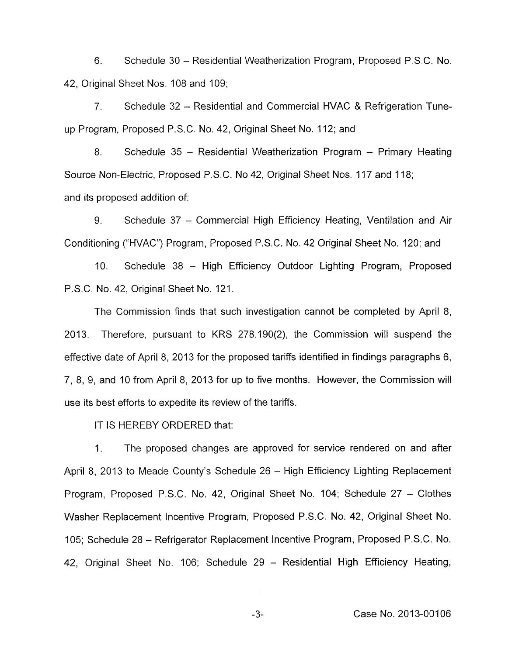6. Schedule 30 - Residential Weatherization Program, Proposed P.S.C. No. 42, Original Sheet Nos. 108 and 109;

7. Schedule 32 - Residential and Commercial HVAC & Refrigeration Tuneup Program, Proposed P.S.C. No. 42, Original Sheet No. 112; and

8. Schedule 35 - Residential Weatherization Program - Primary Heating Source Non-Electric, Proposed P.S.C. No 42, Original Sheet Nos. 117 and 118; and its proposed addition of:

9. Schedule 37 - Commercial High Efficiency Heating, Ventilation and Air Conditioning ("HVAC") Program, Proposed P.S.C. No. 42 Original Sheet No. 120; and

10. Schedule 38 - High Efficiency Outdoor Lighting Program, Proposed P.S.C. No. 42, Original Sheet No. 121.

The Commission finds that such investigation cannot be completed by April 8, 2013. Therefore, pursuant to KRS 278.190(2), the Commission will suspend the effective date of April 8, 2013 for the proposed tariffs identified in findings paragraphs 6, 7, 8, 9, and 10 from April 8, 2013 for up to five months. However, the Commission will use its best efforts to expedite its review of the tariffs.

IT IS HEREBY ORDERED that:

1. The proposed changes are approved for service rendered on and after April 8, 2013 to Meade County's Schedule 26 - High Efficiency Lighting Replacement Program, Proposed P.S.C. No. 42, Original Sheet No. 104; Schedule 27 - Clothes Washer Replacement Incentive Program, Proposed P.S.C. No. 42, Original Sheet No. 105; Schedule 28 - Refrigerator Replacement Incentive Program, Proposed P.S.C. No. 42, Original Sheet No. 106; Schedule 29 - Residential High Efficiency Heating,

-3- Case No. 2013-00106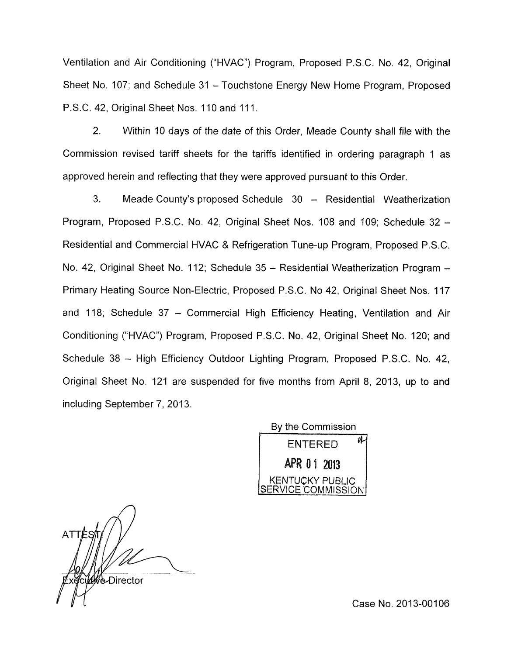Ventilation and Air Conditioning ("HVAC") Program, Proposed P.S.C. No. 42, Original Sheet No. 107; and Schedule 31 - Touchstone Energy New Home Program, Proposed P.S.C. 42, Original Sheet Nos. 110 and 11 1 **<sup>I</sup>**

2. Within 10 days of the date of this Order, Meade County shall file with the Commission revised tariff sheets for the tariffs identified in ordering paragraph 1 as approved herein and reflecting that they were approved pursuant to this Order

3. Meade County's proposed Schedule 30 - Residential Weatherization Program, Proposed P.S.C. No. 42, Original Sheet Nos. 108 and 109; Schedule 32 - Residential and Commercial HVAC & Refrigeration Tune-up Program, Proposed P.S.C. No. 42, Original Sheet No. 112; Schedule 35 - Residential Weatherization Program -Primary Heating Source Non-Electric, Proposed P.S.C. No 42, Original Sheet Nos. 117 and 118; Schedule 37 - Commercial High Efficiency Heating, Ventilation and Air Conditioning ("HVAC") Program, Proposed P.S.C. No. 42, Original Sheet No. 120; and Schedule 38 - High Efficiency Outdoor Lighting Program, Proposed P.S.C. No. 42, Original Sheet No. 121 are suspended for five months from April 8, 2013, up to and including September 7, 2013.

> Bv the Commission aĹ **ENTERED** APR 01 2013 KENTUCKY PUBLIC ERVICE COMMISSION

**ATT** t₩è-Director

Case No. 2013-00106